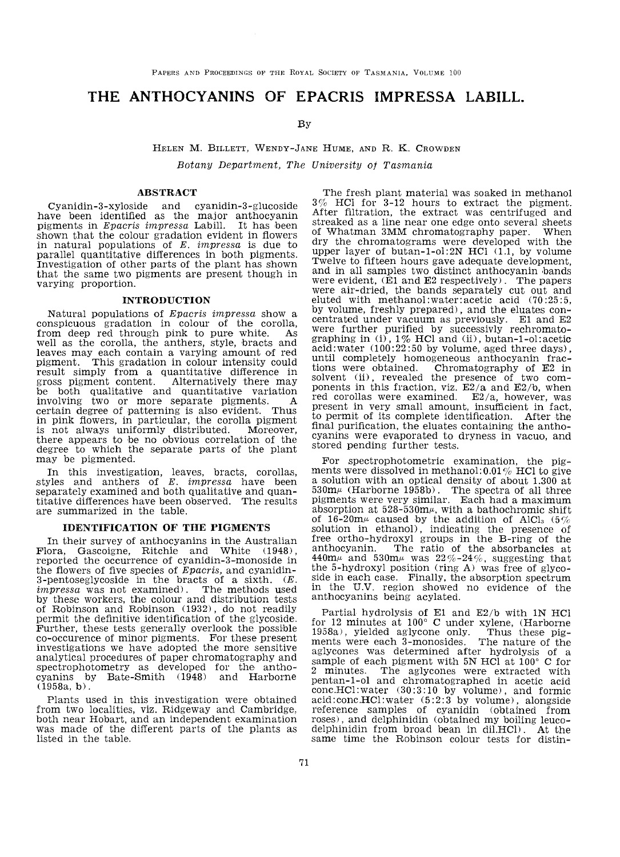# THE ANTHOCYANINS OF EPACRIS IMPRESSA LABILL.

## By

## HELEN M. BILLETT, WENDY-JANE HUME, AND R. K. CROWDEN

Botany Department, The University of Tasmania

### ABSTRACT

Cyanidin-3-xyloside and cyanidin-3-glucoside have been identified as the major anthocyanin pigments in Epacris impressa Labill. It has been shown that the colour gradation evident in flowers in natural populations of  $E$ . *impressa* is due to parallel quantitative differences in both pigments. Investigation of other parts of the plant has shown that the same two pigments are present though in varying proportion.

#### INTRODUCTION

Natural populations of *Epacris impressa* show a conspicuous gradation in colour of the corolla, from deep red through pink to pure white As from deep red through pink to pure white. well as the corolla, the anthers, style, bracts and leaves may each contain a varying amount of red pigment. This gradation in colour intensity could result simply from a quantitative difference in gross pigment content. Alternatively there may gross pigment content. Alternatively there may be both qualitative and quantitative variation involving two or more separate pigments. A certain degree of patterning is also evident. Thus in pink flowers, in particular, the corolla pigment is not always uniformly distributed. there appears to he no obvious correlation of the degree to which the separate parts of the plant may be pigmented.

In this investigation, leaves, bracts, corollas, styles and anthers of  $E$ . *impressa* have been separately examined and both qualitative and quantitative differences have been observed. The results are summarized in the table.

### IDENTIFICATION OF THE PIGMENTS

In their survey of anthocyanins in the Austraiian Flora, Gascoigne, Ritchie and White (1948), reported the occurrence of cyanidin-3-monoside in the flowers of five species of Epacris, and cyanidin-3-pentoseglycoside in the bracts of a sixth.  $(E.$ *impressa* was not examined). The methods used by these workers, the colour and distribution tests of Robinson and Robinson (1932), do not readily permit the definitive identification of the glycoside.<br>Further, these tests generally overlook the possible co-occurence of minor pigments. For these present investigations we have adopted the more sensitive analytical procedures of paper chromatography and spectrophotometry as developed for the anthocyanins by Bate-Smith  $(1948)$  and Harborne  $(1958a, b)$ .

Plants used in this investigation were obtained from two localities, viz. Ridgeway and Cambridge, both near Hobart, and an independent examination was made of the different parts of the plants as listed in the table.

The fresh plant material was soaked in methanol 3% HCl for 3-12 hours to extract the pigment. After filtration, the extract was centrifuged and streaked as a line near one edge onto several sheets of Whatman 3MM chromatography paper. When dry the chromatograms were developed with the upper layer of butan-1-ol:2N HCl  $(1.1, b$ y volume Twelve to fifteen hours gave adequate development. and in all samples two distinct anthocyanin bands<br>were evident,  $(E1 \text{ and } E2 \text{ respectively})$ . The papers<br>were air-dried, the bands separately cut out and eluted with methanol:water:acetic acid (70:25:5, by volume, freshly prepared), and the eluates con-<br>centrated under vacuum as previously. El and E2<br>were further purified by successivly rechromatographing in (i), 1% HCl and (ii), butan-1-ol:acetic  $acid:water (100:22:50 by volume, aged three days),$ until completely homogeneous anthocyanin frac-<br>tions were obtained. Chromatography of E2 in tions were obtained. Chromatography of E2 in ponents in this fraction, viz.  $E2/a$  and  $E2/b$ , when red corollas were examined. E2/a, however, was present in very small amount, insufficient in fact to permit of its complete identification. After the final purification, the eluates containing the anthocyanins were evaporated to dryness in vacuo, and stored pending further tests.

For spectrophotometric examination, the pigments were dissolved in methanol: 0.01% HCl to give a solution with an optical density of about 1.300 at  $530\text{m}\mu$  (Harborne 1958b). The spectra of all three pigments were very similar. Each had a maximum absorption at 528-530m $\mu$ , with a bathochromic shift of 16-20m $\mu$  caused by the addition of AlCl<sub>3</sub> (5%) solution in ethanol). indicating the presence of free ortho-hydroxyl groups in the B-ring of the anthocyanin. The ratio of the absorbancies at 440m $\mu$  and 530m $\mu$  was 22%-24%, suggesting that the 5-hydroxyl position (ring  $A$ ) was free of glyco-<br>side in each case. Finally, the absorption spectrum in the U.V. region showed no evidence of the anthocyanins being acylated.

Partial hydrolysis of E1 and E2/b with 1N HCl f01^ 12 minutes at 100 $^{\circ}$  C under xylene, (Harborne 1958a), yielded aglycone only. Thus these pigments were each 3-monosides. The nature of the aglycones was determined after hydrolysis of a sample of each pigment with 5N HCl at 100° C for 2 minutes. The aglycones were extracted with pentan-1-ol and chromatographed in acetic acid conc.HCl:water (30:3:10 by volume), and formic  $acid:cone.HCl:water (5:2:3 by volume)$ , alongside reference samples of cyanidin (obtained from<br>roses), and delphinidin (obtained my boiling leucodelphinidin from broad bean in dil.HCD. At the same time the Robinson colour tests for distin